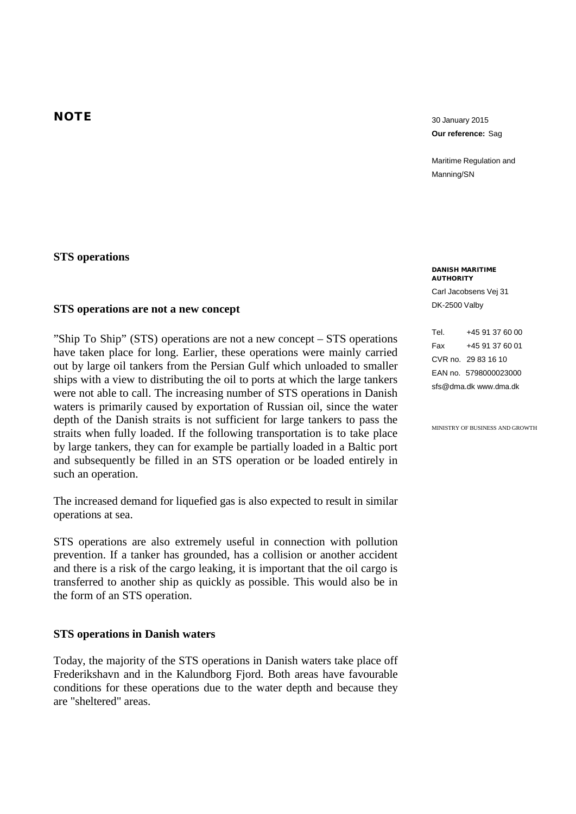**NOTE** 

30 January 2015 **Our reference:** Sag

Maritime Regulation and Manning/SN

#### **STS operations**

#### **STS operations are not a new concept**

"Ship To Ship" (STS) operations are not a new concept – STS operations have taken place for long. Earlier, these operations were mainly carried out by large oil tankers from the Persian Gulf which unloaded to smaller ships with a view to distributing the oil to ports at which the large tankers were not able to call. The increasing number of STS operations in Danish waters is primarily caused by exportation of Russian oil, since the water depth of the Danish straits is not sufficient for large tankers to pass the straits when fully loaded. If the following transportation is to take place by large tankers, they can for example be partially loaded in a Baltic port and subsequently be filled in an STS operation or be loaded entirely in such an operation.

The increased demand for liquefied gas is also expected to result in similar operations at sea.

STS operations are also extremely useful in connection with pollution prevention. If a tanker has grounded, has a collision or another accident and there is a risk of the cargo leaking, it is important that the oil cargo is transferred to another ship as quickly as possible. This would also be in the form of an STS operation.

#### **STS operations in Danish waters**

Today, the majority of the STS operations in Danish waters take place off Frederikshavn and in the Kalundborg Fjord. Both areas have favourable conditions for these operations due to the water depth and because they are "sheltered" areas.

DANISH MARITIME **AUTHORITY** Carl Jacobsens Vej 31

DK-2500 Valby

Tel. +45 91 37 60 00 Fax +45 91 37 60 01 CVR no. 29 83 16 10 EAN no. 5798000023000 [sfs@dma.dk](mailto:sfs@dma.dk) [www.dma.dk](http://www.sofartsstyrelsen.dk/)

MINISTRY OF BUSINESS AND GROWTH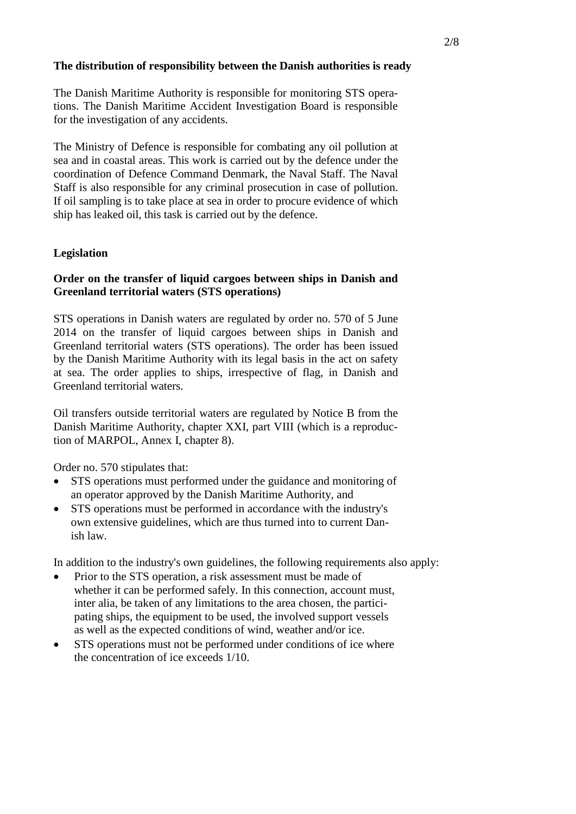# **The distribution of responsibility between the Danish authorities is ready**

The Danish Maritime Authority is responsible for monitoring STS operations. The Danish Maritime Accident Investigation Board is responsible for the investigation of any accidents.

The Ministry of Defence is responsible for combating any oil pollution at sea and in coastal areas. This work is carried out by the defence under the coordination of Defence Command Denmark, the Naval Staff. The Naval Staff is also responsible for any criminal prosecution in case of pollution. If oil sampling is to take place at sea in order to procure evidence of which ship has leaked oil, this task is carried out by the defence.

# **Legislation**

# **Order on the transfer of liquid cargoes between ships in Danish and Greenland territorial waters (STS operations)**

STS operations in Danish waters are regulated by order no. 570 of 5 June 2014 on the transfer of liquid cargoes between ships in Danish and Greenland territorial waters (STS operations). The order has been issued by the Danish Maritime Authority with its legal basis in the act on safety at sea. The order applies to ships, irrespective of flag, in Danish and Greenland territorial waters.

Oil transfers outside territorial waters are regulated by Notice B from the Danish Maritime Authority, chapter XXI, part VIII (which is a reproduction of MARPOL, Annex I, chapter 8).

Order no. 570 stipulates that:

- STS operations must performed under the guidance and monitoring of an operator approved by the Danish Maritime Authority, and
- STS operations must be performed in accordance with the industry's own extensive guidelines, which are thus turned into to current Danish law.

In addition to the industry's own guidelines, the following requirements also apply:

- Prior to the STS operation, a risk assessment must be made of whether it can be performed safely. In this connection, account must, inter alia, be taken of any limitations to the area chosen, the participating ships, the equipment to be used, the involved support vessels as well as the expected conditions of wind, weather and/or ice.
- STS operations must not be performed under conditions of ice where the concentration of ice exceeds 1/10.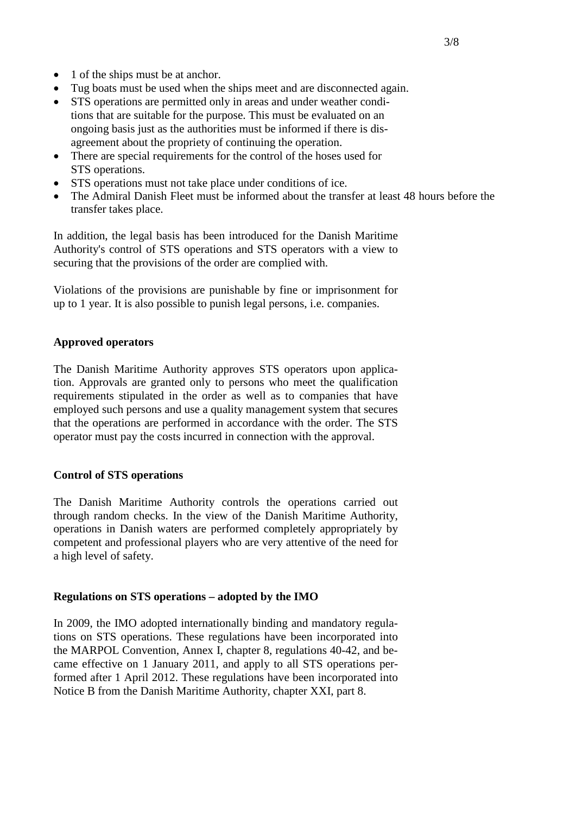- 1 of the ships must be at anchor.
- Tug boats must be used when the ships meet and are disconnected again.
- STS operations are permitted only in areas and under weather conditions that are suitable for the purpose. This must be evaluated on an ongoing basis just as the authorities must be informed if there is disagreement about the propriety of continuing the operation.
- There are special requirements for the control of the hoses used for STS operations.
- STS operations must not take place under conditions of ice.
- The Admiral Danish Fleet must be informed about the transfer at least 48 hours before the transfer takes place.

In addition, the legal basis has been introduced for the Danish Maritime Authority's control of STS operations and STS operators with a view to securing that the provisions of the order are complied with.

Violations of the provisions are punishable by fine or imprisonment for up to 1 year. It is also possible to punish legal persons, i.e. companies.

### **Approved operators**

The Danish Maritime Authority approves STS operators upon application. Approvals are granted only to persons who meet the qualification requirements stipulated in the order as well as to companies that have employed such persons and use a quality management system that secures that the operations are performed in accordance with the order. The STS operator must pay the costs incurred in connection with the approval.

#### **Control of STS operations**

The Danish Maritime Authority controls the operations carried out through random checks. In the view of the Danish Maritime Authority, operations in Danish waters are performed completely appropriately by competent and professional players who are very attentive of the need for a high level of safety.

#### **Regulations on STS operations – adopted by the IMO**

In 2009, the IMO adopted internationally binding and mandatory regulations on STS operations. These regulations have been incorporated into the MARPOL Convention, Annex I, chapter 8, regulations 40-42, and became effective on 1 January 2011, and apply to all STS operations performed after 1 April 2012. These regulations have been incorporated into Notice B from the Danish Maritime Authority, chapter XXI, part 8.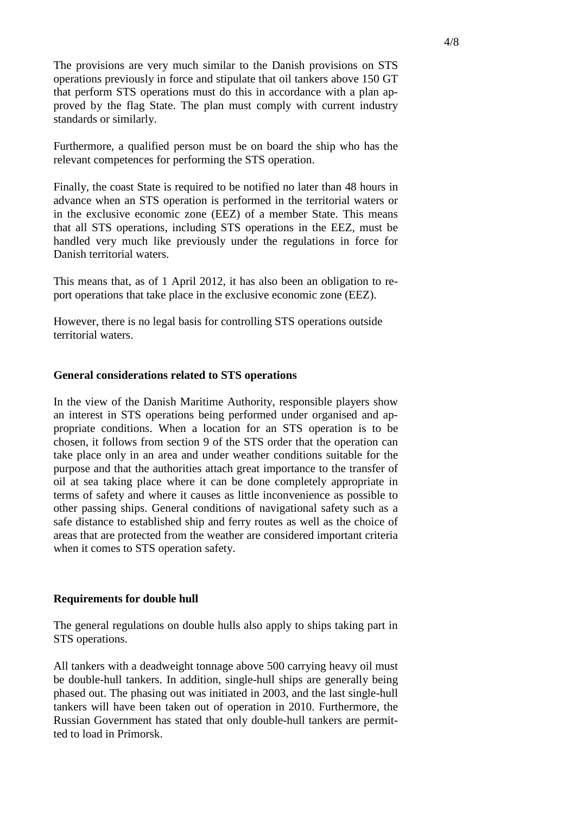The provisions are very much similar to the Danish provisions on STS operations previously in force and stipulate that oil tankers above 150 GT that perform STS operations must do this in accordance with a plan approved by the flag State. The plan must comply with current industry standards or similarly.

Furthermore, a qualified person must be on board the ship who has the relevant competences for performing the STS operation.

Finally, the coast State is required to be notified no later than 48 hours in advance when an STS operation is performed in the territorial waters or in the exclusive economic zone (EEZ) of a member State. This means that all STS operations, including STS operations in the EEZ, must be handled very much like previously under the regulations in force for Danish territorial waters.

This means that, as of 1 April 2012, it has also been an obligation to report operations that take place in the exclusive economic zone (EEZ).

However, there is no legal basis for controlling STS operations outside territorial waters.

#### **General considerations related to STS operations**

In the view of the Danish Maritime Authority, responsible players show an interest in STS operations being performed under organised and appropriate conditions. When a location for an STS operation is to be chosen, it follows from section 9 of the STS order that the operation can take place only in an area and under weather conditions suitable for the purpose and that the authorities attach great importance to the transfer of oil at sea taking place where it can be done completely appropriate in terms of safety and where it causes as little inconvenience as possible to other passing ships. General conditions of navigational safety such as a safe distance to established ship and ferry routes as well as the choice of areas that are protected from the weather are considered important criteria when it comes to STS operation safety.

#### **Requirements for double hull**

The general regulations on double hulls also apply to ships taking part in STS operations.

All tankers with a deadweight tonnage above 500 carrying heavy oil must be double-hull tankers. In addition, single-hull ships are generally being phased out. The phasing out was initiated in 2003, and the last single-hull tankers will have been taken out of operation in 2010. Furthermore, the Russian Government has stated that only double-hull tankers are permitted to load in Primorsk.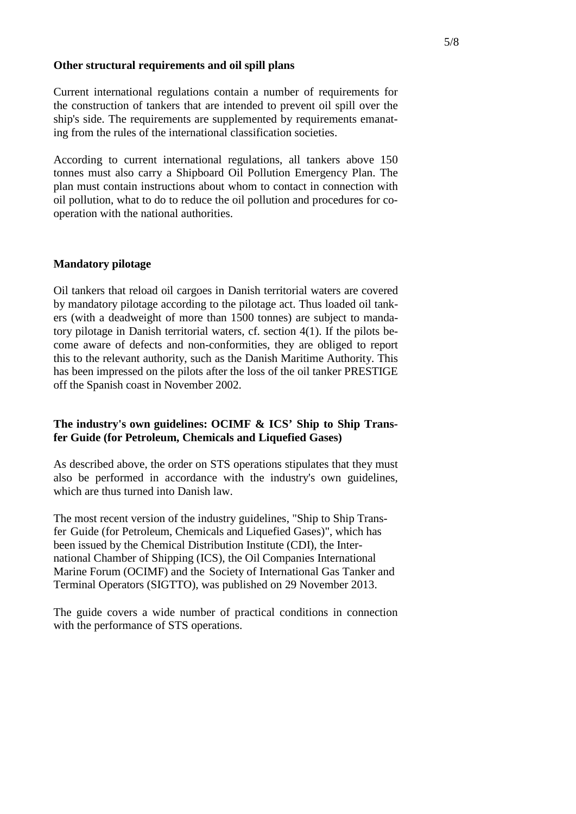#### **Other structural requirements and oil spill plans**

Current international regulations contain a number of requirements for the construction of tankers that are intended to prevent oil spill over the ship's side. The requirements are supplemented by requirements emanating from the rules of the international classification societies.

According to current international regulations, all tankers above 150 tonnes must also carry a Shipboard Oil Pollution Emergency Plan. The plan must contain instructions about whom to contact in connection with oil pollution, what to do to reduce the oil pollution and procedures for cooperation with the national authorities.

#### **Mandatory pilotage**

Oil tankers that reload oil cargoes in Danish territorial waters are covered by mandatory pilotage according to the pilotage act. Thus loaded oil tankers (with a deadweight of more than 1500 tonnes) are subject to mandatory pilotage in Danish territorial waters, cf. section 4(1). If the pilots become aware of defects and non-conformities, they are obliged to report this to the relevant authority, such as the Danish Maritime Authority. This has been impressed on the pilots after the loss of the oil tanker PRESTIGE off the Spanish coast in November 2002.

### **The industry's own guidelines: OCIMF & ICS' Ship to Ship Transfer Guide (for Petroleum, Chemicals and Liquefied Gases)**

As described above, the order on STS operations stipulates that they must also be performed in accordance with the industry's own guidelines, which are thus turned into Danish law.

The most recent version of the industry guidelines, "Ship to Ship Transfer Guide (for Petroleum, Chemicals and Liquefied Gases)", which has been issued by the Chemical Distribution Institute (CDI), the International Chamber of Shipping (ICS), the Oil Companies International Marine Forum (OCIMF) and the Society of International Gas Tanker and Terminal Operators (SIGTTO), was published on 29 November 2013.

The guide covers a wide number of practical conditions in connection with the performance of STS operations.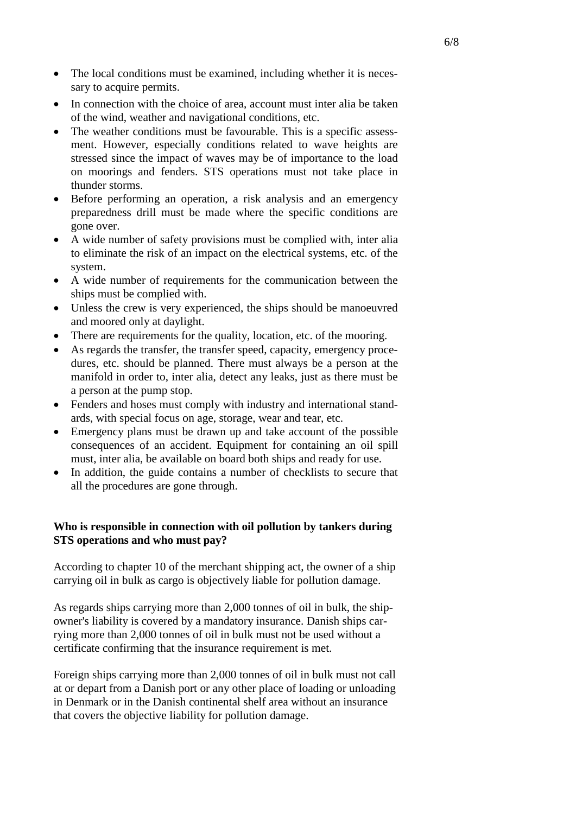- The local conditions must be examined, including whether it is necessary to acquire permits.
- In connection with the choice of area, account must inter alia be taken of the wind, weather and navigational conditions, etc.
- The weather conditions must be favourable. This is a specific assessment. However, especially conditions related to wave heights are stressed since the impact of waves may be of importance to the load on moorings and fenders. STS operations must not take place in thunder storms.
- Before performing an operation, a risk analysis and an emergency preparedness drill must be made where the specific conditions are gone over.
- A wide number of safety provisions must be complied with, inter alia to eliminate the risk of an impact on the electrical systems, etc. of the system.
- A wide number of requirements for the communication between the ships must be complied with.
- Unless the crew is very experienced, the ships should be manoeuvred and moored only at daylight.
- There are requirements for the quality, location, etc. of the mooring.
- As regards the transfer, the transfer speed, capacity, emergency procedures, etc. should be planned. There must always be a person at the manifold in order to, inter alia, detect any leaks, just as there must be a person at the pump stop.
- Fenders and hoses must comply with industry and international standards, with special focus on age, storage, wear and tear, etc.
- Emergency plans must be drawn up and take account of the possible consequences of an accident. Equipment for containing an oil spill must, inter alia, be available on board both ships and ready for use.
- In addition, the guide contains a number of checklists to secure that all the procedures are gone through.

# **Who is responsible in connection with oil pollution by tankers during STS operations and who must pay?**

According to chapter 10 of the merchant shipping act, the owner of a ship carrying oil in bulk as cargo is objectively liable for pollution damage.

As regards ships carrying more than 2,000 tonnes of oil in bulk, the shipowner's liability is covered by a mandatory insurance. Danish ships carrying more than 2,000 tonnes of oil in bulk must not be used without a certificate confirming that the insurance requirement is met.

Foreign ships carrying more than 2,000 tonnes of oil in bulk must not call at or depart from a Danish port or any other place of loading or unloading in Denmark or in the Danish continental shelf area without an insurance that covers the objective liability for pollution damage.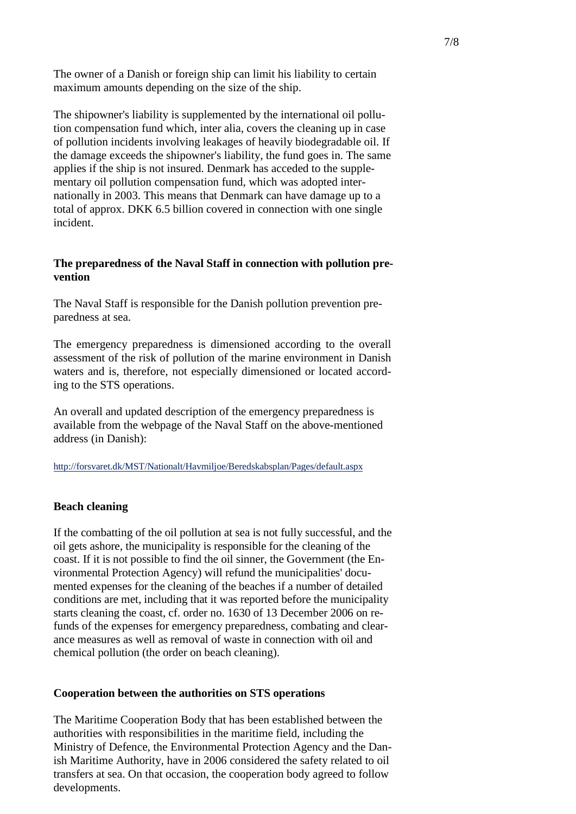The owner of a Danish or foreign ship can limit his liability to certain maximum amounts depending on the size of the ship.

The shipowner's liability is supplemented by the international oil pollution compensation fund which, inter alia, covers the cleaning up in case of pollution incidents involving leakages of heavily biodegradable oil. If the damage exceeds the shipowner's liability, the fund goes in. The same applies if the ship is not insured. Denmark has acceded to the supplementary oil pollution compensation fund, which was adopted internationally in 2003. This means that Denmark can have damage up to a total of approx. DKK 6.5 billion covered in connection with one single incident.

### **The preparedness of the Naval Staff in connection with pollution prevention**

The Naval Staff is responsible for the Danish pollution prevention preparedness at sea.

The emergency preparedness is dimensioned according to the overall assessment of the risk of pollution of the marine environment in Danish waters and is, therefore, not especially dimensioned or located according to the STS operations.

An overall and updated description of the emergency preparedness is available from the webpage of the Naval Staff on the above-mentioned address (in Danish):

<http://forsvaret.dk/MST/Nationalt/Havmiljoe/Beredskabsplan/Pages/default.aspx>

### **Beach cleaning**

If the combatting of the oil pollution at sea is not fully successful, and the oil gets ashore, the municipality is responsible for the cleaning of the coast. If it is not possible to find the oil sinner, the Government (the Environmental Protection Agency) will refund the municipalities' documented expenses for the cleaning of the beaches if a number of detailed conditions are met, including that it was reported before the municipality starts cleaning the coast, cf. order no. 1630 of 13 December 2006 on refunds of the expenses for emergency preparedness, combating and clearance measures as well as removal of waste in connection with oil and chemical pollution (the order on beach cleaning).

#### **Cooperation between the authorities on STS operations**

The Maritime Cooperation Body that has been established between the authorities with responsibilities in the maritime field, including the Ministry of Defence, the Environmental Protection Agency and the Danish Maritime Authority, have in 2006 considered the safety related to oil transfers at sea. On that occasion, the cooperation body agreed to follow developments.